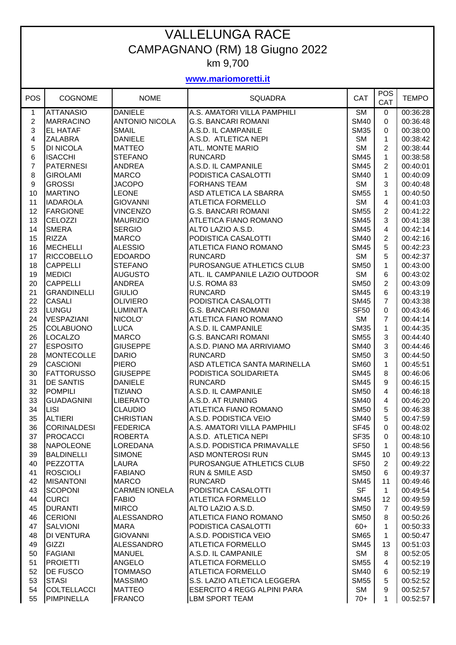## VALLELUNGA RACE CAMPAGNANO (RM) 18 Giugno 2022 km 9,700

## **www.mariomoretti.it**

| <b>POS</b>       | <b>COGNOME</b>     | <b>NOME</b>           | <b>SQUADRA</b>                     | CAT                    | <b>POS</b><br>CAT | <b>TEMPO</b> |
|------------------|--------------------|-----------------------|------------------------------------|------------------------|-------------------|--------------|
| 1                | <b>ATTANASIO</b>   | <b>DANIELE</b>        | A.S. AMATORI VILLA PAMPHILI        | $\overline{\text{SM}}$ | 0                 | 00:36:28     |
| $\sqrt{2}$       | <b>MARRACINO</b>   | <b>ANTONIO NICOLA</b> | <b>G.S. BANCARI ROMANI</b>         | <b>SM40</b>            | 0                 | 00:36:48     |
| 3                | <b>EL HATAF</b>    | <b>SMAIL</b>          | A.S.D. IL CAMPANILE                | <b>SM35</b>            | 0                 | 00:38:00     |
| 4                | <b>ZALABRA</b>     | <b>DANIELE</b>        | A.S.D. ATLETICA NEPI               | <b>SM</b>              | 1                 | 00:38:42     |
| 5                | <b>DI NICOLA</b>   | <b>MATTEO</b>         | ATL. MONTE MARIO                   | <b>SM</b>              | 2                 | 00:38:44     |
| 6                | <b>ISACCHI</b>     | <b>STEFANO</b>        | <b>RUNCARD</b>                     | <b>SM45</b>            | 1                 | 00:38:58     |
| $\overline{7}$   | <b>PATERNESI</b>   | <b>ANDREA</b>         | A.S.D. IL CAMPANILE                | <b>SM45</b>            | 2                 | 00:40:01     |
| 8                | <b>GIROLAMI</b>    | <b>MARCO</b>          | PODISTICA CASALOTTI                | <b>SM40</b>            | 1                 | 00:40:09     |
| $\boldsymbol{9}$ | <b>GROSSI</b>      | <b>JACOPO</b>         | <b>FORHANS TEAM</b>                | <b>SM</b>              | 3                 | 00:40:48     |
| 10               | <b>MARTINO</b>     | <b>LEONE</b>          | ASD ATLETICA LA SBARRA             | <b>SM55</b>            | 1                 | 00:40:50     |
| 11               | <b>IADAROLA</b>    | GIOVANNI              | <b>ATLETICA FORMELLO</b>           | <b>SM</b>              | 4                 | 00:41:03     |
| 12               | <b>FARGIONE</b>    | <b>VINCENZO</b>       | <b>G.S. BANCARI ROMANI</b>         | <b>SM55</b>            | $\overline{2}$    | 00:41:22     |
| 13               | <b>CELOZZI</b>     | <b>MAURIZIO</b>       | ATLETICA FIANO ROMANO              | <b>SM45</b>            | 3                 | 00:41:38     |
| 14               | <b>SMERA</b>       | <b>SERGIO</b>         | ALTO LAZIO A.S.D.                  | <b>SM45</b>            | 4                 | 00:42:14     |
| 15               | <b>RIZZA</b>       | <b>MARCO</b>          | PODISTICA CASALOTTI                | <b>SM40</b>            | $\overline{2}$    | 00:42:16     |
| 16               | <b>MECHELLI</b>    | <b>ALESSIO</b>        | ATLETICA FIANO ROMANO              | <b>SM45</b>            | 5                 | 00:42:23     |
| 17               | <b>RICCOBELLO</b>  | <b>EDOARDO</b>        | <b>RUNCARD</b>                     | <b>SM</b>              | 5                 | 00:42:37     |
| 18               | <b>CAPPELLI</b>    | <b>STEFANO</b>        | PUROSANGUE ATHLETICS CLUB          | <b>SM50</b>            | 1                 | 00:43:00     |
| 19               | <b>MEDICI</b>      | <b>AUGUSTO</b>        | ATL. IL CAMPANILE LAZIO OUTDOOR    | <b>SM</b>              | 6                 | 00:43:02     |
| 20               | <b>CAPPELLI</b>    | <b>ANDREA</b>         | U.S. ROMA 83                       | <b>SM50</b>            | $\overline{2}$    | 00:43:09     |
| 21               | <b>GRANDINELLI</b> | <b>GIULIO</b>         | <b>RUNCARD</b>                     | <b>SM45</b>            | 6                 | 00:43:19     |
| 22               | <b>CASALI</b>      | <b>OLIVIERO</b>       | PODISTICA CASALOTTI                | <b>SM45</b>            | $\overline{7}$    | 00:43:38     |
| 23               | <b>LUNGU</b>       | <b>LUMINITA</b>       | <b>G.S. BANCARI ROMANI</b>         | <b>SF50</b>            | 0                 | 00:43:46     |
| 24               | <b>VESPAZIANI</b>  | NICOLO'               | ATLETICA FIANO ROMANO              | <b>SM</b>              | $\overline{7}$    | 00:44:14     |
| 25               | <b>COLABUONO</b>   | <b>LUCA</b>           | A.S.D. IL CAMPANILE                | <b>SM35</b>            | 1                 | 00:44:35     |
| 26               | <b>LOCALZO</b>     | <b>MARCO</b>          | <b>G.S. BANCARI ROMANI</b>         | <b>SM55</b>            | 3                 | 00:44:40     |
| 27               | <b>ESPOSITO</b>    | <b>GIUSEPPE</b>       | A.S.D. PIANO MA ARRIVIAMO          | <b>SM40</b>            | 3                 | 00:44:46     |
| 28               | <b>MONTECOLLE</b>  | <b>DARIO</b>          | <b>RUNCARD</b>                     | <b>SM50</b>            | 3                 | 00:44:50     |
| 29               | <b>CASCIONI</b>    | <b>PIERO</b>          | ASD ATLETICA SANTA MARINELLA       | <b>SM60</b>            | $\mathbf 1$       | 00:45:51     |
| 30               | <b>FATTORUSSO</b>  | <b>GIUSEPPE</b>       | PODISTICA SOLIDARIETA              | <b>SM45</b>            | 8                 | 00:46:06     |
| 31               | <b>DE SANTIS</b>   | <b>DANIELE</b>        | <b>RUNCARD</b>                     | <b>SM45</b>            | 9                 | 00:46:15     |
| 32               | <b>POMPILI</b>     | <b>TIZIANO</b>        | A.S.D. IL CAMPANILE                | <b>SM50</b>            | 4                 | 00:46:18     |
| 33               | <b>GUADAGNINI</b>  | <b>LIBERATO</b>       | A.S.D. AT RUNNING                  | <b>SM40</b>            | 4                 | 00:46:20     |
| 34               | <b>LISI</b>        | <b>CLAUDIO</b>        | ATLETICA FIANO ROMANO              | <b>SM50</b>            | 5                 | 00:46:38     |
| 35               | <b>ALTIERI</b>     | <b>CHRISTIAN</b>      | A.S.D. PODISTICA VEIO              | <b>SM40</b>            | 5                 | 00:47:59     |
| 36               | <b>CORINALDESI</b> | <b>FEDERICA</b>       | A.S. AMATORI VILLA PAMPHILI        | <b>SF45</b>            | $\mathbf 0$       | 00:48:02     |
| 37               | <b>PROCACCI</b>    | <b>ROBERTA</b>        | A.S.D. ATLETICA NEPI               | <b>SF35</b>            | 0                 | 00:48:10     |
| 38               | <b>NAPOLEONE</b>   | LOREDANA              | A.S.D. PODISTICA PRIMAVALLE        | <b>SF50</b>            | $\mathbf 1$       | 00:48:56     |
| 39               | <b>BALDINELLI</b>  | <b>SIMONE</b>         | <b>ASD MONTEROSI RUN</b>           | <b>SM45</b>            | 10                | 00:49:13     |
| 40               | <b>PEZZOTTA</b>    | LAURA                 | PUROSANGUE ATHLETICS CLUB          | <b>SF50</b>            | $\overline{2}$    | 00:49:22     |
| 41               | <b>ROSCIOLI</b>    | <b>FABIANO</b>        | <b>RUN &amp; SMILE ASD</b>         | <b>SM50</b>            | 6                 | 00:49:37     |
| 42               | <b>MISANTONI</b>   | <b>MARCO</b>          | <b>RUNCARD</b>                     | <b>SM45</b>            | 11                | 00:49:46     |
| 43               | <b>SCOPONI</b>     | <b>CARMEN IONELA</b>  | PODISTICA CASALOTTI                | <b>SF</b>              | $\mathbf{1}$      | 00:49:54     |
| 44               | <b>CURCI</b>       | <b>FABIO</b>          | <b>ATLETICA FORMELLO</b>           | <b>SM45</b>            | 12                | 00:49:59     |
| 45               | <b>DURANTI</b>     | <b>MIRCO</b>          | ALTO LAZIO A.S.D.                  | <b>SM50</b>            | $\overline{7}$    | 00:49:59     |
| 46               | <b>CERIONI</b>     | <b>ALESSANDRO</b>     | ATLETICA FIANO ROMANO              | <b>SM50</b>            | 8                 | 00:50:26     |
| 47               | <b>SALVIONI</b>    | <b>MARA</b>           | PODISTICA CASALOTTI                | $60+$                  | $\mathbf 1$       | 00:50:33     |
| 48               | <b>DI VENTURA</b>  | <b>GIOVANNI</b>       | A.S.D. PODISTICA VEIO              | <b>SM65</b>            | $\mathbf{1}$      | 00:50:47     |
| 49               | GIZZI              | <b>ALESSANDRO</b>     | ATLETICA FORMELLO                  | <b>SM45</b>            | 13                | 00:51:03     |
| 50               | <b>FAGIANI</b>     | <b>MANUEL</b>         | A.S.D. IL CAMPANILE                | <b>SM</b>              | 8                 | 00:52:05     |
| 51               | <b>PROIETTI</b>    | <b>ANGELO</b>         | ATLETICA FORMELLO                  | <b>SM55</b>            | 4                 | 00:52:19     |
| 52               | <b>DE FUSCO</b>    | <b>TOMMASO</b>        | ATLETICA FORMELLO                  | <b>SM40</b>            | 6                 | 00:52:19     |
| 53               | <b>STASI</b>       | <b>MASSIMO</b>        | S.S. LAZIO ATLETICA LEGGERA        | <b>SM55</b>            | 5                 | 00:52:52     |
| 54               | <b>COLTELLACCI</b> | <b>MATTEO</b>         | <b>ESERCITO 4 REGG ALPINI PARA</b> | <b>SM</b>              | 9                 | 00:52:57     |
| 55               | <b>PIMPINELLA</b>  | <b>FRANCO</b>         | LBM SPORT TEAM                     | $70+$                  | 1                 | 00:52:57     |